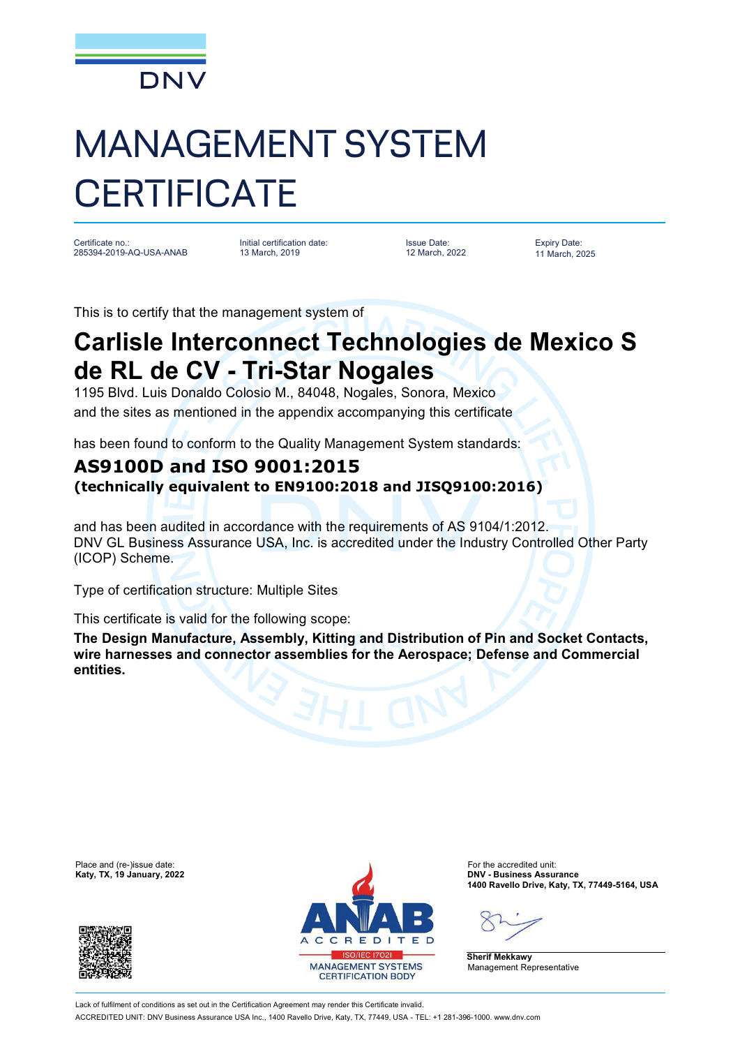

## MANAGEMENT SYSTEM **CERTIFICATE**

Certificate no.: 285394-2019-AQ-USA-ANAB Initial certification date: 13 March, 2019

Issue Date: 12 March, 2022 Expiry Date: 11 March, 2025

This is to certify that the management system of

## **Carlisle Interconnect Technologies de Mexico S de RL de CV - Tri-Star Nogales**

1195 Blvd. Luis Donaldo Colosio M., 84048, Nogales, Sonora, Mexico and the sites as mentioned in the appendix accompanying this certificate

has been found to conform to the Quality Management System standards:

## **AS9100D and ISO 9001:2015**

**(technically equivalent to EN9100:2018 and JISQ9100:2016)**

and has been audited in accordance with the requirements of AS 9104/1:2012. DNV GL Business Assurance USA, Inc. is accredited under the Industry Controlled Other Party (ICOP) Scheme.

Type of certification structure: Multiple Sites

This certificate is valid for the following scope:

**The Design Manufacture, Assembly, Kitting and Distribution of Pin and Socket Contacts, wire harnesses and connector assemblies for the Aerospace; Defense and Commercial entities.**





**1400 Ravello Drive, Katy, TX, 77449-5164, USA**

**Sherif Mekkawy** Management Representative